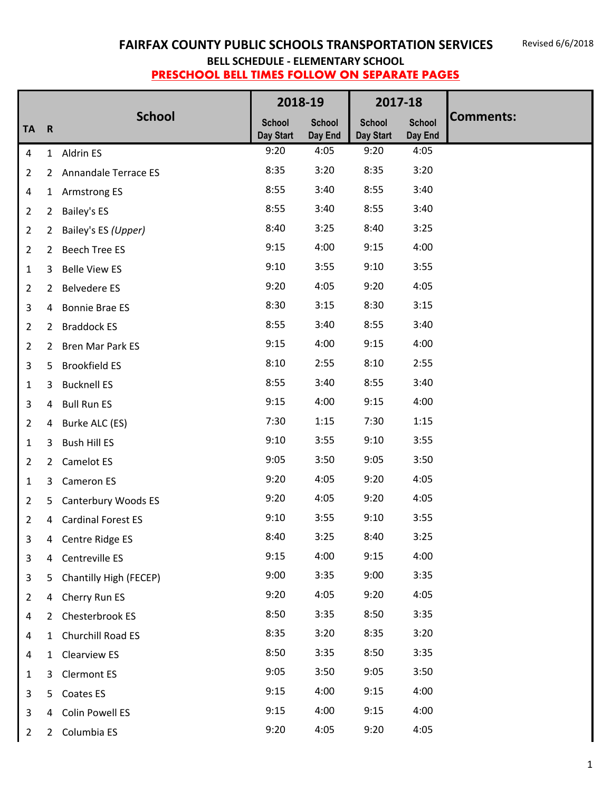|                |                |                             |                            | 2018-19                  | 2017-18                    |                          |                  |
|----------------|----------------|-----------------------------|----------------------------|--------------------------|----------------------------|--------------------------|------------------|
| <b>TA</b>      | $\mathbf R$    | <b>School</b>               | <b>School</b><br>Day Start | <b>School</b><br>Day End | <b>School</b><br>Day Start | <b>School</b><br>Day End | <b>Comments:</b> |
| $\overline{4}$ |                | 1 Aldrin ES                 | 9:20                       | 4:05                     | 9:20                       | 4:05                     |                  |
| 2              | $\overline{2}$ | <b>Annandale Terrace ES</b> | 8:35                       | 3:20                     | 8:35                       | 3:20                     |                  |
| $\overline{a}$ |                | 1 Armstrong ES              | 8:55                       | 3:40                     | 8:55                       | 3:40                     |                  |
| $\overline{2}$ | $\overline{2}$ | <b>Bailey's ES</b>          | 8:55                       | 3:40                     | 8:55                       | 3:40                     |                  |
| $\overline{2}$ | $\overline{2}$ | Bailey's ES (Upper)         | 8:40                       | 3:25                     | 8:40                       | 3:25                     |                  |
| $\overline{2}$ | $\mathbf{2}$   | <b>Beech Tree ES</b>        | 9:15                       | 4:00                     | 9:15                       | 4:00                     |                  |
| $\mathbf{1}$   | 3              | <b>Belle View ES</b>        | 9:10                       | 3:55                     | 9:10                       | 3:55                     |                  |
| $\overline{2}$ | $\overline{2}$ | <b>Belvedere ES</b>         | 9:20                       | 4:05                     | 9:20                       | 4:05                     |                  |
| 3              | 4              | <b>Bonnie Brae ES</b>       | 8:30                       | 3:15                     | 8:30                       | 3:15                     |                  |
| 2              | $\overline{2}$ | <b>Braddock ES</b>          | 8:55                       | 3:40                     | 8:55                       | 3:40                     |                  |
| 2              | $\mathbf{2}$   | <b>Bren Mar Park ES</b>     | 9:15                       | 4:00                     | 9:15                       | 4:00                     |                  |
| 3              | 5              | <b>Brookfield ES</b>        | 8:10                       | 2:55                     | 8:10                       | 2:55                     |                  |
| 1              | 3              | <b>Bucknell ES</b>          | 8:55                       | 3:40                     | 8:55                       | 3:40                     |                  |
| 3              | $\overline{4}$ | <b>Bull Run ES</b>          | 9:15                       | 4:00                     | 9:15                       | 4:00                     |                  |
| 2              | 4              | Burke ALC (ES)              | 7:30                       | 1:15                     | 7:30                       | 1:15                     |                  |
| $\mathbf{1}$   | 3              | <b>Bush Hill ES</b>         | 9:10                       | 3:55                     | 9:10                       | 3:55                     |                  |
| $\overline{2}$ | $2^{\circ}$    | Camelot ES                  | 9:05                       | 3:50                     | 9:05                       | 3:50                     |                  |
| $\mathbf{1}$   | 3              | Cameron ES                  | 9:20                       | 4:05                     | 9:20                       | 4:05                     |                  |
| $\overline{2}$ | 5              | Canterbury Woods ES         | 9:20                       | 4:05                     | 9:20                       | 4:05                     |                  |
| 2              | 4              | <b>Cardinal Forest ES</b>   | 9:10                       | 3:55                     | 9:10                       | 3:55                     |                  |
| 3              | 4              | Centre Ridge ES             | 8:40                       | 3:25                     | 8:40                       | 3:25                     |                  |
| 3              | 4              | Centreville ES              | 9:15                       | 4:00                     | 9:15                       | 4:00                     |                  |
| 3              | 5              | Chantilly High (FECEP)      | 9:00                       | 3:35                     | 9:00                       | 3:35                     |                  |
| $\overline{2}$ | 4              | Cherry Run ES               | 9:20                       | 4:05                     | 9:20                       | 4:05                     |                  |
| 4              | $\overline{2}$ | Chesterbrook ES             | 8:50                       | 3:35                     | 8:50                       | 3:35                     |                  |
| 4              | $\mathbf{1}$   | Churchill Road ES           | 8:35                       | 3:20                     | 8:35                       | 3:20                     |                  |
| 4              | 1              | Clearview ES                | 8:50                       | 3:35                     | 8:50                       | 3:35                     |                  |
| $\mathbf{1}$   | 3              | <b>Clermont ES</b>          | 9:05                       | 3:50                     | 9:05                       | 3:50                     |                  |
| 3              | 5              | Coates ES                   | 9:15                       | 4:00                     | 9:15                       | 4:00                     |                  |
| 3              | 4              | <b>Colin Powell ES</b>      | 9:15                       | 4:00                     | 9:15                       | 4:00                     |                  |
| $\overline{2}$ |                | 2 Columbia ES               | 9:20                       | 4:05                     | 9:20                       | 4:05                     |                  |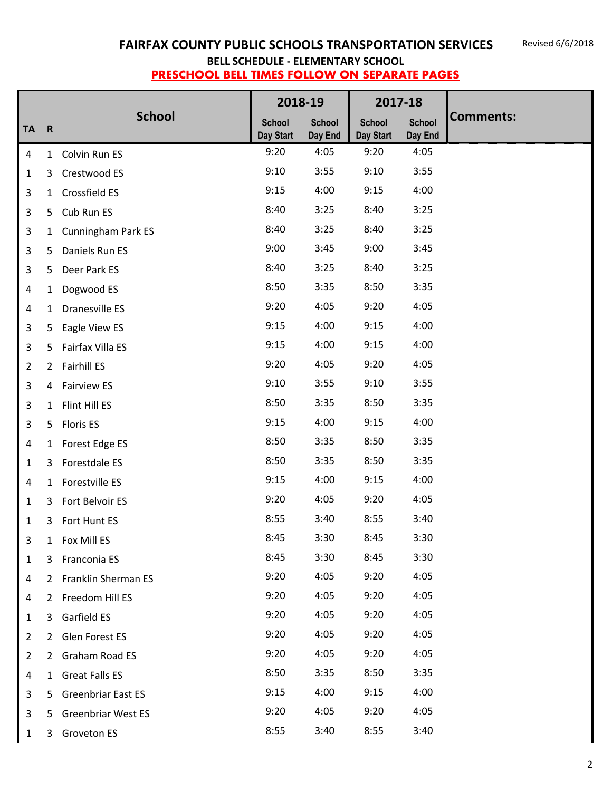|                |                |                           |                            | 2018-19                  |                            | 2017-18                  |                  |
|----------------|----------------|---------------------------|----------------------------|--------------------------|----------------------------|--------------------------|------------------|
| <b>TA</b>      | $\mathbf R$    | <b>School</b>             | <b>School</b><br>Day Start | <b>School</b><br>Day End | <b>School</b><br>Day Start | <b>School</b><br>Day End | <b>Comments:</b> |
| $\overline{4}$ |                | 1 Colvin Run ES           | 9:20                       | 4:05                     | 9:20                       | 4:05                     |                  |
| $\mathbf{1}$   | 3              | Crestwood ES              | 9:10                       | 3:55                     | 9:10                       | 3:55                     |                  |
| 3              | $\mathbf{1}$   | Crossfield ES             | 9:15                       | 4:00                     | 9:15                       | 4:00                     |                  |
| 3              | 5              | Cub Run ES                | 8:40                       | 3:25                     | 8:40                       | 3:25                     |                  |
| 3              | $\mathbf{1}$   | <b>Cunningham Park ES</b> | 8:40                       | 3:25                     | 8:40                       | 3:25                     |                  |
| 3              | 5              | Daniels Run ES            | 9:00                       | 3:45                     | 9:00                       | 3:45                     |                  |
| 3              | 5              | Deer Park ES              | 8:40                       | 3:25                     | 8:40                       | 3:25                     |                  |
| $\overline{4}$ | 1              | Dogwood ES                | 8:50                       | 3:35                     | 8:50                       | 3:35                     |                  |
| 4              | $\mathbf{1}$   | Dranesville ES            | 9:20                       | 4:05                     | 9:20                       | 4:05                     |                  |
| 3              | 5              | Eagle View ES             | 9:15                       | 4:00                     | 9:15                       | 4:00                     |                  |
| 3              |                | 5 Fairfax Villa ES        | 9:15                       | 4:00                     | 9:15                       | 4:00                     |                  |
| $\overline{2}$ |                | 2 Fairhill ES             | 9:20                       | 4:05                     | 9:20                       | 4:05                     |                  |
| 3              | 4              | <b>Fairview ES</b>        | 9:10                       | 3:55                     | 9:10                       | 3:55                     |                  |
| 3              | $\mathbf{1}$   | Flint Hill ES             | 8:50                       | 3:35                     | 8:50                       | 3:35                     |                  |
| 3              | 5              | <b>Floris ES</b>          | 9:15                       | 4:00                     | 9:15                       | 4:00                     |                  |
| 4              |                | 1 Forest Edge ES          | 8:50                       | 3:35                     | 8:50                       | 3:35                     |                  |
| 1              | 3              | Forestdale ES             | 8:50                       | 3:35                     | 8:50                       | 3:35                     |                  |
| $\overline{a}$ | $\mathbf{1}$   | Forestville ES            | 9:15                       | 4:00                     | 9:15                       | 4:00                     |                  |
| 1              | 3              | Fort Belvoir ES           | 9:20                       | 4:05                     | 9:20                       | 4:05                     |                  |
| 1              | 3              | Fort Hunt ES              | 8:55                       | 3:40                     | 8:55                       | 3:40                     |                  |
| 3              | 1              | Fox Mill ES               | 8:45                       | 3:30                     | 8:45                       | 3:30                     |                  |
| $\mathbf{1}$   | 3              | Franconia ES              | 8:45                       | 3:30                     | 8:45                       | 3:30                     |                  |
| 4              | $\overline{2}$ | Franklin Sherman ES       | 9:20                       | 4:05                     | 9:20                       | 4:05                     |                  |
| 4              | $\overline{2}$ | Freedom Hill ES           | 9:20                       | 4:05                     | 9:20                       | 4:05                     |                  |
| $\mathbf{1}$   | 3              | Garfield ES               | 9:20                       | 4:05                     | 9:20                       | 4:05                     |                  |
| $\overline{2}$ | $\mathbf{2}$   | Glen Forest ES            | 9:20                       | 4:05                     | 9:20                       | 4:05                     |                  |
| $\overline{2}$ | $\overline{2}$ | Graham Road ES            | 9:20                       | 4:05                     | 9:20                       | 4:05                     |                  |
| 4              | $\mathbf{1}$   | <b>Great Falls ES</b>     | 8:50                       | 3:35                     | 8:50                       | 3:35                     |                  |
| 3              | 5              | <b>Greenbriar East ES</b> | 9:15                       | 4:00                     | 9:15                       | 4:00                     |                  |
| 3              | 5              | <b>Greenbriar West ES</b> | 9:20                       | 4:05                     | 9:20                       | 4:05                     |                  |
| $\mathbf{1}$   | 3              | <b>Groveton ES</b>        | 8:55                       | 3:40                     | 8:55                       | 3:40                     |                  |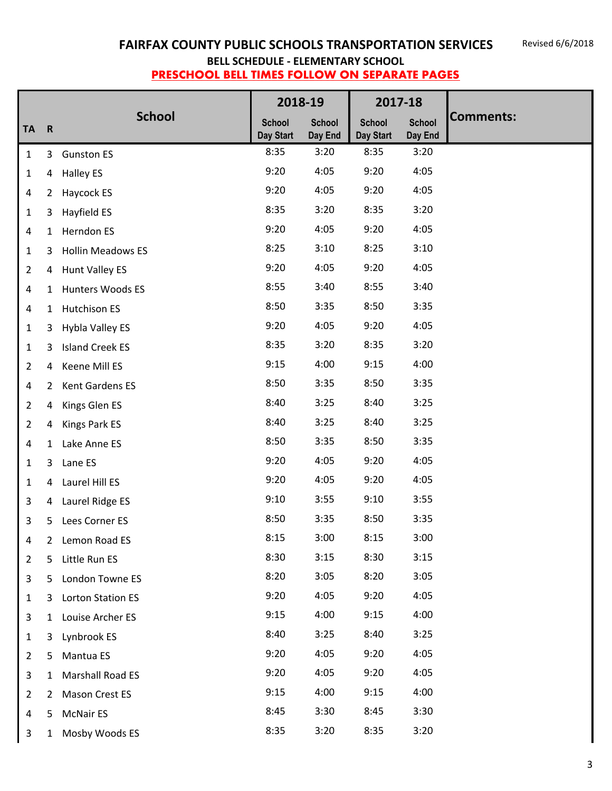|                         |                |                          |                            | 2018-19                  |                            | 2017-18                  |                  |
|-------------------------|----------------|--------------------------|----------------------------|--------------------------|----------------------------|--------------------------|------------------|
| <b>TA</b>               | $\mathbf R$    | <b>School</b>            | <b>School</b><br>Day Start | <b>School</b><br>Day End | <b>School</b><br>Day Start | <b>School</b><br>Day End | <b>Comments:</b> |
| $\mathbf{1}$            | 3              | <b>Gunston ES</b>        | 8:35                       | 3:20                     | 8:35                       | 3:20                     |                  |
| $\mathbf{1}$            | 4              | <b>Halley ES</b>         | 9:20                       | 4:05                     | 9:20                       | 4:05                     |                  |
| 4                       | $\overline{2}$ | Haycock ES               | 9:20                       | 4:05                     | 9:20                       | 4:05                     |                  |
| $\mathbf{1}$            | 3              | Hayfield ES              | 8:35                       | 3:20                     | 8:35                       | 3:20                     |                  |
| $\overline{a}$          | 1              | Herndon ES               | 9:20                       | 4:05                     | 9:20                       | 4:05                     |                  |
| $\mathbf{1}$            | 3              | <b>Hollin Meadows ES</b> | 8:25                       | 3:10                     | 8:25                       | 3:10                     |                  |
| $\overline{2}$          | 4              | <b>Hunt Valley ES</b>    | 9:20                       | 4:05                     | 9:20                       | 4:05                     |                  |
| $\overline{\mathbf{4}}$ | $\mathbf{1}$   | Hunters Woods ES         | 8:55                       | 3:40                     | 8:55                       | 3:40                     |                  |
| 4                       | $\mathbf{1}$   | <b>Hutchison ES</b>      | 8:50                       | 3:35                     | 8:50                       | 3:35                     |                  |
| $\mathbf{1}$            | 3              | Hybla Valley ES          | 9:20                       | 4:05                     | 9:20                       | 4:05                     |                  |
| $\mathbf{1}$            | 3              | <b>Island Creek ES</b>   | 8:35                       | 3:20                     | 8:35                       | 3:20                     |                  |
| $\overline{2}$          | 4              | Keene Mill ES            | 9:15                       | 4:00                     | 9:15                       | 4:00                     |                  |
| $\overline{\mathbf{4}}$ | $\overline{2}$ | Kent Gardens ES          | 8:50                       | 3:35                     | 8:50                       | 3:35                     |                  |
| $\overline{2}$          | 4              | Kings Glen ES            | 8:40                       | 3:25                     | 8:40                       | 3:25                     |                  |
| 2                       | 4              | Kings Park ES            | 8:40                       | 3:25                     | 8:40                       | 3:25                     |                  |
| 4                       | $\mathbf{1}$   | Lake Anne ES             | 8:50                       | 3:35                     | 8:50                       | 3:35                     |                  |
| 1                       | 3              | Lane ES                  | 9:20                       | 4:05                     | 9:20                       | 4:05                     |                  |
| $\mathbf{1}$            | 4              | Laurel Hill ES           | 9:20                       | 4:05                     | 9:20                       | 4:05                     |                  |
| 3                       | 4              | Laurel Ridge ES          | 9:10                       | 3:55                     | 9:10                       | 3:55                     |                  |
| 3                       | 5              | Lees Corner ES           | 8:50                       | 3:35                     | 8:50                       | 3:35                     |                  |
| 4                       | 2              | Lemon Road ES            | 8:15                       | 3:00                     | 8:15                       | 3:00                     |                  |
| $\overline{2}$          | 5              | Little Run ES            | 8:30                       | 3:15                     | 8:30                       | 3:15                     |                  |
| $\mathbf{3}$            | 5              | London Towne ES          | 8:20                       | 3:05                     | 8:20                       | 3:05                     |                  |
| $\mathbf{1}$            | 3              | Lorton Station ES        | 9:20                       | 4:05                     | 9:20                       | 4:05                     |                  |
| $\mathbf{3}$            | $\mathbf{1}$   | Louise Archer ES         | 9:15                       | 4:00                     | 9:15                       | 4:00                     |                  |
| $\mathbf{1}$            | 3              | Lynbrook ES              | 8:40                       | 3:25                     | 8:40                       | 3:25                     |                  |
| $\overline{2}$          | 5              | Mantua ES                | 9:20                       | 4:05                     | 9:20                       | 4:05                     |                  |
| 3                       | 1              | Marshall Road ES         | 9:20                       | 4:05                     | 9:20                       | 4:05                     |                  |
| $\overline{2}$          | $\overline{2}$ | Mason Crest ES           | 9:15                       | 4:00                     | 9:15                       | 4:00                     |                  |
| $\overline{4}$          | 5              | <b>McNair ES</b>         | 8:45                       | 3:30                     | 8:45                       | 3:30                     |                  |
| 3                       | $\mathbf{1}$   | Mosby Woods ES           | 8:35                       | 3:20                     | 8:35                       | 3:20                     |                  |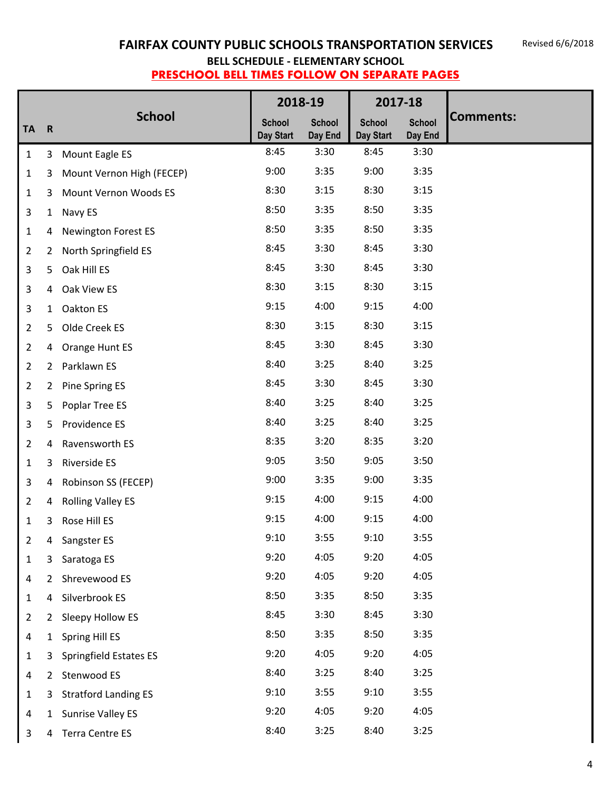|                |                |                             |                            | 2018-19                  | 2017-18                    |                          |                  |
|----------------|----------------|-----------------------------|----------------------------|--------------------------|----------------------------|--------------------------|------------------|
| <b>TA</b>      | $\mathsf{R}$   | <b>School</b>               | <b>School</b><br>Day Start | <b>School</b><br>Day End | <b>School</b><br>Day Start | <b>School</b><br>Day End | <b>Comments:</b> |
| $\mathbf{1}$   | 3              | Mount Eagle ES              | 8:45                       | 3:30                     | 8:45                       | 3:30                     |                  |
| $\mathbf{1}$   | 3              | Mount Vernon High (FECEP)   | 9:00                       | 3:35                     | 9:00                       | 3:35                     |                  |
| $\mathbf{1}$   | 3              | Mount Vernon Woods ES       | 8:30                       | 3:15                     | 8:30                       | 3:15                     |                  |
| 3              | $\mathbf{1}$   | Navy ES                     | 8:50                       | 3:35                     | 8:50                       | 3:35                     |                  |
| $\mathbf{1}$   | 4              | <b>Newington Forest ES</b>  | 8:50                       | 3:35                     | 8:50                       | 3:35                     |                  |
| $\overline{2}$ | $\overline{2}$ | North Springfield ES        | 8:45                       | 3:30                     | 8:45                       | 3:30                     |                  |
| 3              | 5              | Oak Hill ES                 | 8:45                       | 3:30                     | 8:45                       | 3:30                     |                  |
| 3              | 4              | Oak View ES                 | 8:30                       | 3:15                     | 8:30                       | 3:15                     |                  |
| 3              | $\mathbf{1}$   | Oakton ES                   | 9:15                       | 4:00                     | 9:15                       | 4:00                     |                  |
| $\overline{2}$ | 5              | Olde Creek ES               | 8:30                       | 3:15                     | 8:30                       | 3:15                     |                  |
| $\overline{2}$ | 4              | Orange Hunt ES              | 8:45                       | 3:30                     | 8:45                       | 3:30                     |                  |
| $\overline{2}$ | $\overline{2}$ | Parklawn ES                 | 8:40                       | 3:25                     | 8:40                       | 3:25                     |                  |
| $\overline{2}$ | $\overline{2}$ | Pine Spring ES              | 8:45                       | 3:30                     | 8:45                       | 3:30                     |                  |
| 3              | 5              | Poplar Tree ES              | 8:40                       | 3:25                     | 8:40                       | 3:25                     |                  |
| 3              | 5              | Providence ES               | 8:40                       | 3:25                     | 8:40                       | 3:25                     |                  |
| $\overline{2}$ | 4              | Ravensworth ES              | 8:35                       | 3:20                     | 8:35                       | 3:20                     |                  |
| $\mathbf{1}$   | 3              | Riverside ES                | 9:05                       | 3:50                     | 9:05                       | 3:50                     |                  |
| 3              | 4              | Robinson SS (FECEP)         | 9:00                       | 3:35                     | 9:00                       | 3:35                     |                  |
| $\overline{2}$ | 4              | <b>Rolling Valley ES</b>    | 9:15                       | 4:00                     | 9:15                       | 4:00                     |                  |
| 1              | 3              | Rose Hill ES                | 9:15                       | 4:00                     | 9:15                       | 4:00                     |                  |
| 2              | 4              | Sangster ES                 | 9:10                       | 3:55                     | 9:10                       | 3:55                     |                  |
| $1\,$          | 3              | Saratoga ES                 | 9:20                       | 4:05                     | 9:20                       | 4:05                     |                  |
| 4              | $\overline{2}$ | Shrevewood ES               | 9:20                       | 4:05                     | 9:20                       | 4:05                     |                  |
| 1              | 4              | Silverbrook ES              | 8:50                       | 3:35                     | 8:50                       | 3:35                     |                  |
| $\overline{2}$ |                | 2 Sleepy Hollow ES          | 8:45                       | 3:30                     | 8:45                       | 3:30                     |                  |
| 4              | $\mathbf{1}$   | Spring Hill ES              | 8:50                       | 3:35                     | 8:50                       | 3:35                     |                  |
| $\mathbf 1$    | 3              | Springfield Estates ES      | 9:20                       | 4:05                     | 9:20                       | 4:05                     |                  |
| 4              | $\overline{2}$ | Stenwood ES                 | 8:40                       | 3:25                     | 8:40                       | 3:25                     |                  |
| $\mathbf{1}$   | 3              | <b>Stratford Landing ES</b> | 9:10                       | 3:55                     | 9:10                       | 3:55                     |                  |
| 4              |                | 1 Sunrise Valley ES         | 9:20                       | 4:05                     | 9:20                       | 4:05                     |                  |
| $\mathbf{3}$   | 4              | <b>Terra Centre ES</b>      | 8:40                       | 3:25                     | 8:40                       | 3:25                     |                  |

Ш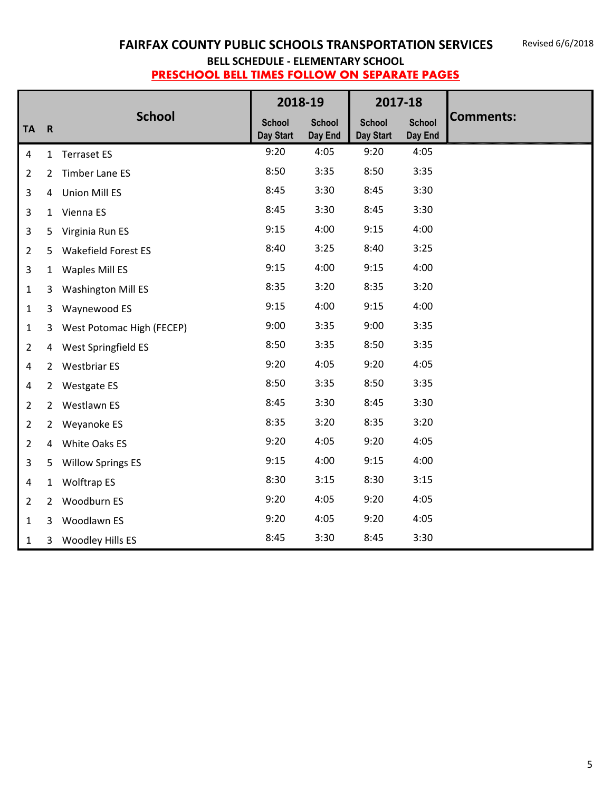|                |                |                            | 2018-19                    |                          | 2017-18                    |                          |                  |
|----------------|----------------|----------------------------|----------------------------|--------------------------|----------------------------|--------------------------|------------------|
| <b>TA</b>      | $\mathbf R$    | <b>School</b>              | <b>School</b><br>Day Start | <b>School</b><br>Day End | <b>School</b><br>Day Start | <b>School</b><br>Day End | <b>Comments:</b> |
| 4              |                | 1 Terraset ES              | 9:20                       | 4:05                     | 9:20                       | 4:05                     |                  |
| $\overline{2}$ | 2              | Timber Lane ES             | 8:50                       | 3:35                     | 8:50                       | 3:35                     |                  |
| 3              |                | 4 Union Mill ES            | 8:45                       | 3:30                     | 8:45                       | 3:30                     |                  |
| 3              | $\mathbf{1}$   | Vienna ES                  | 8:45                       | 3:30                     | 8:45                       | 3:30                     |                  |
| 3              |                | 5 Virginia Run ES          | 9:15                       | 4:00                     | 9:15                       | 4:00                     |                  |
| $\overline{2}$ | 5              | <b>Wakefield Forest ES</b> | 8:40                       | 3:25                     | 8:40                       | 3:25                     |                  |
| 3              |                | 1 Waples Mill ES           | 9:15                       | 4:00                     | 9:15                       | 4:00                     |                  |
| $\mathbf{1}$   | 3              | <b>Washington Mill ES</b>  | 8:35                       | 3:20                     | 8:35                       | 3:20                     |                  |
| $\mathbf{1}$   | 3              | Waynewood ES               | 9:15                       | 4:00                     | 9:15                       | 4:00                     |                  |
| $\mathbf{1}$   | 3              | West Potomac High (FECEP)  | 9:00                       | 3:35                     | 9:00                       | 3:35                     |                  |
| $\overline{2}$ |                | 4 West Springfield ES      | 8:50                       | 3:35                     | 8:50                       | 3:35                     |                  |
| 4              |                | 2 Westbriar ES             | 9:20                       | 4:05                     | 9:20                       | 4:05                     |                  |
| 4              |                | 2 Westgate ES              | 8:50                       | 3:35                     | 8:50                       | 3:35                     |                  |
| $\overline{2}$ |                | 2 Westlawn ES              | 8:45                       | 3:30                     | 8:45                       | 3:30                     |                  |
| $\overline{2}$ | $2^{\circ}$    | Weyanoke ES                | 8:35                       | 3:20                     | 8:35                       | 3:20                     |                  |
| $\overline{2}$ | 4              | White Oaks ES              | 9:20                       | 4:05                     | 9:20                       | 4:05                     |                  |
| $\overline{3}$ | 5              | <b>Willow Springs ES</b>   | 9:15                       | 4:00                     | 9:15                       | 4:00                     |                  |
| 4              | $\mathbf{1}$   | <b>Wolftrap ES</b>         | 8:30                       | 3:15                     | 8:30                       | 3:15                     |                  |
| $\overline{2}$ | $\overline{2}$ | Woodburn ES                | 9:20                       | 4:05                     | 9:20                       | 4:05                     |                  |
| $\mathbf{1}$   | 3              | Woodlawn ES                | 9:20                       | 4:05                     | 9:20                       | 4:05                     |                  |
| $\mathbf{1}$   | 3              | Woodley Hills ES           | 8:45                       | 3:30                     | 8:45                       | 3:30                     |                  |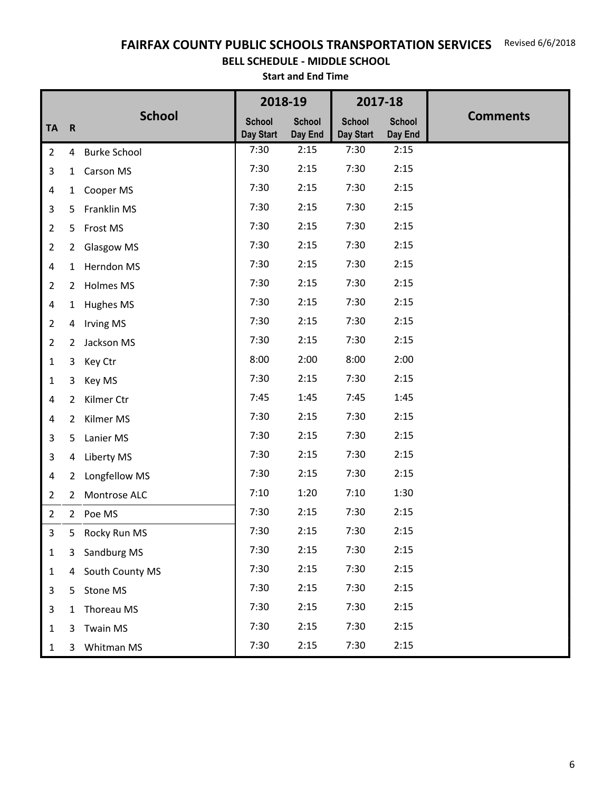FAIRFAX COUNTY PUBLIC SCHOOLS TRANSPORTATION SERVICES Revised 6/6/2018

#### **BELL SCHEDULE - MIDDLE SCHOOL** �

**Start and End Time**

|                |                |                   | 2018-19                    |                          | 2017-18                    |                          |                 |
|----------------|----------------|-------------------|----------------------------|--------------------------|----------------------------|--------------------------|-----------------|
| <b>TA</b>      | $\mathbf R$    | <b>School</b>     | <b>School</b><br>Day Start | <b>School</b><br>Day End | <b>School</b><br>Day Start | <b>School</b><br>Day End | <b>Comments</b> |
| $\overline{2}$ |                | 4 Burke School    | 7:30                       | 2:15                     | 7:30                       | 2:15                     |                 |
| 3              | 1              | Carson MS         | 7:30                       | 2:15                     | 7:30                       | 2:15                     |                 |
| 4              |                | 1 Cooper MS       | 7:30                       | 2:15                     | 7:30                       | 2:15                     |                 |
| 3              | 5              | Franklin MS       | 7:30                       | 2:15                     | 7:30                       | 2:15                     |                 |
| $\overline{2}$ | 5              | Frost MS          | 7:30                       | 2:15                     | 7:30                       | 2:15                     |                 |
| $\overline{2}$ | $\overline{2}$ | <b>Glasgow MS</b> | 7:30                       | 2:15                     | 7:30                       | 2:15                     |                 |
| 4              | $\mathbf{1}$   | Herndon MS        | 7:30                       | 2:15                     | 7:30                       | 2:15                     |                 |
| $\overline{2}$ |                | 2 Holmes MS       | 7:30                       | 2:15                     | 7:30                       | 2:15                     |                 |
| 4              | $\mathbf{1}$   | Hughes MS         | 7:30                       | 2:15                     | 7:30                       | 2:15                     |                 |
| $\overline{2}$ | 4              | <b>Irving MS</b>  | 7:30                       | 2:15                     | 7:30                       | 2:15                     |                 |
| $\overline{2}$ | $\overline{2}$ | Jackson MS        | 7:30                       | 2:15                     | 7:30                       | 2:15                     |                 |
| $\mathbf{1}$   | 3              | Key Ctr           | 8:00                       | 2:00                     | 8:00                       | 2:00                     |                 |
| $\mathbf{1}$   | 3              | Key MS            | 7:30                       | 2:15                     | 7:30                       | 2:15                     |                 |
| 4              | $\overline{2}$ | Kilmer Ctr        | 7:45                       | 1:45                     | 7:45                       | 1:45                     |                 |
| 4              | $\mathbf{2}$   | Kilmer MS         | 7:30                       | 2:15                     | 7:30                       | 2:15                     |                 |
| 3              | 5              | Lanier MS         | 7:30                       | 2:15                     | 7:30                       | 2:15                     |                 |
| 3              | 4              | Liberty MS        | 7:30                       | 2:15                     | 7:30                       | 2:15                     |                 |
| 4              | $\mathbf{2}$   | Longfellow MS     | 7:30                       | 2:15                     | 7:30                       | 2:15                     |                 |
| $\overline{2}$ | $\mathbf{2}$   | Montrose ALC      | 7:10                       | 1:20                     | 7:10                       | 1:30                     |                 |
| $\overline{2}$ |                | 2 Poe MS          | 7:30                       | 2:15                     | 7:30                       | 2:15                     |                 |
| 3              |                | 5 Rocky Run MS    | 7:30                       | 2:15                     | 7:30                       | 2:15                     |                 |
| $\mathbf{1}$   | 3              | Sandburg MS       | 7:30                       | 2:15                     | 7:30                       | 2:15                     |                 |
| $\mathbf{1}$   |                | 4 South County MS | 7:30                       | 2:15                     | 7:30                       | 2:15                     |                 |
| 3              |                | 5 Stone MS        | 7:30                       | 2:15                     | 7:30                       | 2:15                     |                 |
| 3              | $\mathbf{1}$   | Thoreau MS        | 7:30                       | 2:15                     | 7:30                       | 2:15                     |                 |
| 1              | 3              | <b>Twain MS</b>   | 7:30                       | 2:15                     | 7:30                       | 2:15                     |                 |
| $\mathbf{1}$   | 3              | Whitman MS        | 7:30                       | 2:15                     | 7:30                       | 2:15                     |                 |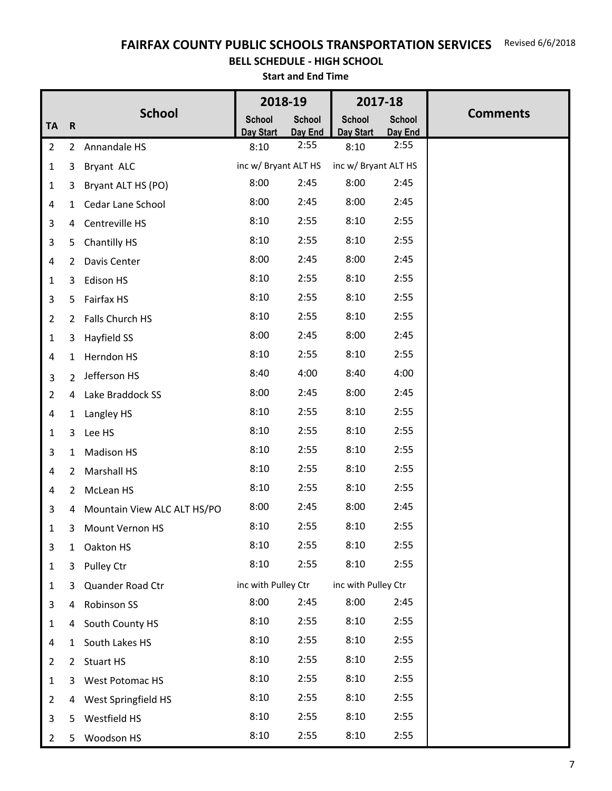# FAIRFAX COUNTY PUBLIC SCHOOLS TRANSPORTATION SERVICES Revised 6/6/2018

#### **BELL SCHEDULE - HIGH SCHOOL** �

**Start and End Time**

|                |                |                             | 2018-19              |                 |                      | 2017-18         |                 |
|----------------|----------------|-----------------------------|----------------------|-----------------|----------------------|-----------------|-----------------|
| <b>TA</b>      | $\mathbf R$    | <b>School</b>               | <b>School</b>        | <b>School</b>   | <b>School</b>        | <b>School</b>   | <b>Comments</b> |
| $\overline{2}$ |                | 2 Annandale HS              | Day Start<br>8:10    | Day End<br>2:55 | Day Start<br>8:10    | Day End<br>2:55 |                 |
| $\mathbf{1}$   | 3              | Bryant ALC                  | inc w/ Bryant ALT HS |                 | inc w/ Bryant ALT HS |                 |                 |
| $\mathbf{1}$   | 3              | Bryant ALT HS (PO)          | 8:00                 | 2:45            | 8:00                 | 2:45            |                 |
| 4              | 1              | Cedar Lane School           | 8:00                 | 2:45            | 8:00                 | 2:45            |                 |
| 3              | 4              | Centreville HS              | 8:10                 | 2:55            | 8:10                 | 2:55            |                 |
| 3              | 5              | Chantilly HS                | 8:10                 | 2:55            | 8:10                 | 2:55            |                 |
| 4              | $\mathbf{2}$   | Davis Center                | 8:00                 | 2:45            | 8:00                 | 2:45            |                 |
| $\mathbf{1}$   | 3              | Edison HS                   | 8:10                 | 2:55            | 8:10                 | 2:55            |                 |
| 3              | 5              | Fairfax HS                  | 8:10                 | 2:55            | 8:10                 | 2:55            |                 |
| $2^{\circ}$    | $2^{\circ}$    | Falls Church HS             | 8:10                 | 2:55            | 8:10                 | 2:55            |                 |
| $\mathbf{1}$   | 3              | Hayfield SS                 | 8:00                 | 2:45            | 8:00                 | 2:45            |                 |
| 4              | $\mathbf{1}$   | Herndon HS                  | 8:10                 | 2:55            | 8:10                 | 2:55            |                 |
| 3              | $\overline{2}$ | Jefferson HS                | 8:40                 | 4:00            | 8:40                 | 4:00            |                 |
| $\overline{2}$ | $\overline{4}$ | Lake Braddock SS            | 8:00                 | 2:45            | 8:00                 | 2:45            |                 |
| 4              | $\mathbf{1}$   | Langley HS                  | 8:10                 | 2:55            | 8:10                 | 2:55            |                 |
| $\mathbf{1}$   | 3              | Lee HS                      | 8:10                 | 2:55            | 8:10                 | 2:55            |                 |
| 3              | $\mathbf{1}$   | <b>Madison HS</b>           | 8:10                 | 2:55            | 8:10                 | 2:55            |                 |
| 4              | $\overline{2}$ | <b>Marshall HS</b>          | 8:10                 | 2:55            | 8:10                 | 2:55            |                 |
| 4              | $\mathbf{2}$   | McLean HS                   | 8:10                 | 2:55            | 8:10                 | 2:55            |                 |
| 3              | 4              | Mountain View ALC ALT HS/PO | 8:00                 | 2:45            | 8:00                 | 2:45            |                 |
| 1              | 3              | Mount Vernon HS             | 8:10                 | 2:55            | 8:10                 | 2:55            |                 |
| 3              | $\mathbf{1}$   | Oakton HS                   | 8:10                 | 2:55            | 8:10                 | 2:55            |                 |
| 1              | 3              | Pulley Ctr                  | 8:10                 | 2:55            | 8:10                 | 2:55            |                 |
| $\mathbf{1}$   | 3              | Quander Road Ctr            | inc with Pulley Ctr  |                 | inc with Pulley Ctr  |                 |                 |
| 3              | 4              | Robinson SS                 | 8:00                 | 2:45            | 8:00                 | 2:45            |                 |
| $\mathbf{1}$   | 4              | South County HS             | 8:10                 | 2:55            | 8:10                 | 2:55            |                 |
| 4              | $\mathbf{1}$   | South Lakes HS              | 8:10                 | 2:55            | 8:10                 | 2:55            |                 |
| $\overline{2}$ | $\mathbf{2}$   | <b>Stuart HS</b>            | 8:10                 | 2:55            | 8:10                 | 2:55            |                 |
| $\mathbf 1$    | 3              | West Potomac HS             | 8:10                 | 2:55            | 8:10                 | 2:55            |                 |
| $\overline{2}$ | 4              | West Springfield HS         | 8:10                 | 2:55            | 8:10                 | 2:55            |                 |
| 3              | 5              | Westfield HS                | 8:10                 | 2:55            | 8:10                 | 2:55            |                 |
| $\overline{2}$ | 5              | Woodson HS                  | 8:10                 | 2:55            | 8:10                 | 2:55            |                 |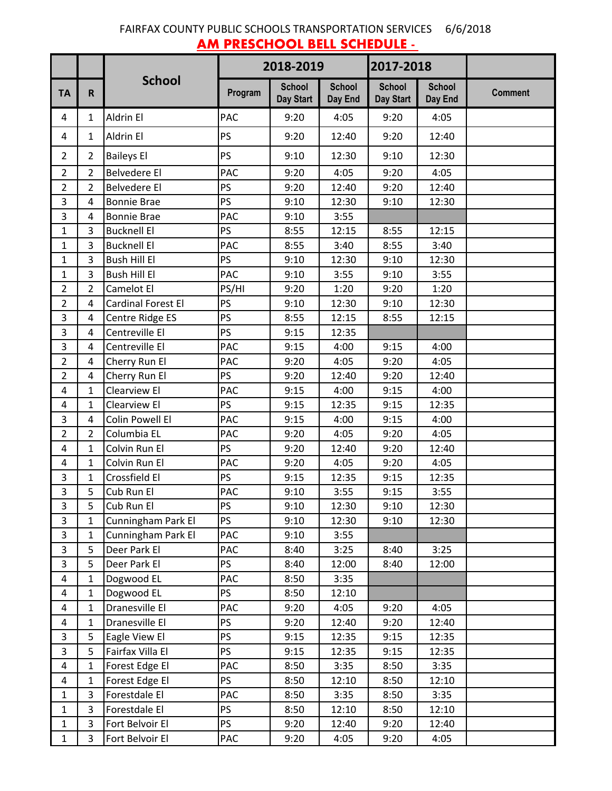# FAIRFAX COUNTY PUBLIC SCHOOLS TRANSPORTATION SERVICES 6/6/2018 **AM PRESCHOOL BELL SCHEDULE -**

|                |                |                           | 2018-2019 |                            |                          | 2017-2018                  |                          |                |
|----------------|----------------|---------------------------|-----------|----------------------------|--------------------------|----------------------------|--------------------------|----------------|
| <b>TA</b>      | R              | <b>School</b>             | Program   | <b>School</b><br>Day Start | <b>School</b><br>Day End | <b>School</b><br>Day Start | <b>School</b><br>Day End | <b>Comment</b> |
| 4              | 1              | Aldrin El                 | PAC       | 9:20                       | 4:05                     | 9:20                       | 4:05                     |                |
| 4              | $\mathbf{1}$   | Aldrin El                 | PS        | 9:20                       | 12:40                    | 9:20                       | 12:40                    |                |
| $\overline{2}$ | $\overline{2}$ | <b>Baileys El</b>         | PS        | 9:10                       | 12:30                    | 9:10                       | 12:30                    |                |
| $\overline{2}$ | $\overline{2}$ | <b>Belvedere El</b>       | PAC       | 9:20                       | 4:05                     | 9:20                       | 4:05                     |                |
| $\overline{2}$ | 2              | <b>Belvedere El</b>       | PS        | 9:20                       | 12:40                    | 9:20                       | 12:40                    |                |
| 3              | 4              | <b>Bonnie Brae</b>        | PS        | 9:10                       | 12:30                    | 9:10                       | 12:30                    |                |
| 3              | 4              | <b>Bonnie Brae</b>        | PAC       | 9:10                       | 3:55                     |                            |                          |                |
| $\mathbf{1}$   | 3              | <b>Bucknell El</b>        | PS        | 8:55                       | 12:15                    | 8:55                       | 12:15                    |                |
| 1              | 3              | <b>Bucknell El</b>        | PAC       | 8:55                       | 3:40                     | 8:55                       | 3:40                     |                |
| $\mathbf{1}$   | 3              | <b>Bush Hill El</b>       | PS        | 9:10                       | 12:30                    | 9:10                       | 12:30                    |                |
| $\mathbf{1}$   | 3              | <b>Bush Hill El</b>       | PAC       | 9:10                       | 3:55                     | 9:10                       | 3:55                     |                |
| $\overline{2}$ | 2              | Camelot El                | PS/HI     | 9:20                       | 1:20                     | 9:20                       | 1:20                     |                |
| $\overline{2}$ | 4              | <b>Cardinal Forest El</b> | PS        | 9:10                       | 12:30                    | 9:10                       | 12:30                    |                |
| 3              | 4              | Centre Ridge ES           | PS        | 8:55                       | 12:15                    | 8:55                       | 12:15                    |                |
| 3              | 4              | Centreville El            | PS        | 9:15                       | 12:35                    |                            |                          |                |
| 3              | 4              | Centreville El            | PAC       | 9:15                       | 4:00                     | 9:15                       | 4:00                     |                |
| $\overline{2}$ | 4              | Cherry Run El             | PAC       | 9:20                       | 4:05                     | 9:20                       | 4:05                     |                |
| $\overline{2}$ | 4              | Cherry Run El             | PS        | 9:20                       | 12:40                    | 9:20                       | 12:40                    |                |
| 4              | 1              | Clearview El              | PAC       | 9:15                       | 4:00                     | 9:15                       | 4:00                     |                |
| 4              | 1              | Clearview El              | PS        | 9:15                       | 12:35                    | 9:15                       | 12:35                    |                |
| 3              | 4              | Colin Powell El           | PAC       | 9:15                       | 4:00                     | 9:15                       | 4:00                     |                |
| $\overline{2}$ | $\overline{2}$ | Columbia EL               | PAC       | 9:20                       | 4:05                     | 9:20                       | 4:05                     |                |
| 4              | $\mathbf 1$    | Colvin Run El             | PS        | 9:20                       | 12:40                    | 9:20                       | 12:40                    |                |
| 4              | 1              | Colvin Run El             | PAC       | 9:20                       | 4:05                     | 9:20                       | 4:05                     |                |
| 3              | $\mathbf{1}$   | Crossfield El             | PS        | 9:15                       | 12:35                    | 9:15                       | 12:35                    |                |
| 3              | 5              | Cub Run El                | PAC       | 9:10                       | 3:55                     | 9:15                       | 3:55                     |                |
| 3              | 5              | Cub Run El                | PS        | 9:10                       | 12:30                    | 9:10                       | 12:30                    |                |
| $\overline{3}$ | 1              | Cunningham Park El        | <b>PS</b> | 9:10                       | 12:30                    | 9:10                       | 12:30                    |                |
| 3              | $\mathbf{1}$   | Cunningham Park El        | PAC       | 9:10                       | 3:55                     |                            |                          |                |
| 3              | 5              | Deer Park El              | PAC       | 8:40                       | 3:25                     | 8:40                       | 3:25                     |                |
| 3              | 5              | Deer Park El              | PS        | 8:40                       | 12:00                    | 8:40                       | 12:00                    |                |
| 4              | 1              | Dogwood EL                | PAC       | 8:50                       | 3:35                     |                            |                          |                |
| 4              | 1              | Dogwood EL                | PS        | 8:50                       | 12:10                    |                            |                          |                |
| 4              | 1              | Dranesville El            | PAC       | 9:20                       | 4:05                     | 9:20                       | 4:05                     |                |
| 4              | 1              | Dranesville El            | PS        | 9:20                       | 12:40                    | 9:20                       | 12:40                    |                |
| 3              | 5              | Eagle View El             | PS        | 9:15                       | 12:35                    | 9:15                       | 12:35                    |                |
| 3              | 5              | Fairfax Villa El          | <b>PS</b> | 9:15                       | 12:35                    | 9:15                       | 12:35                    |                |
| 4              | 1              | Forest Edge El            | PAC       | 8:50                       | 3:35                     | 8:50                       | 3:35                     |                |
| 4              | 1              | Forest Edge El            | <b>PS</b> | 8:50                       | 12:10                    | 8:50                       | 12:10                    |                |
| $\mathbf{1}$   | 3              | Forestdale El             | PAC       | 8:50                       | 3:35                     | 8:50                       | 3:35                     |                |
| $\mathbf{1}$   | 3              | Forestdale El             | PS        | 8:50                       | 12:10                    | 8:50                       | 12:10                    |                |
| $\mathbf{1}$   | 3              | Fort Belvoir El           | <b>PS</b> | 9:20                       | 12:40                    | 9:20                       | 12:40                    |                |
| 1              | 3              | Fort Belvoir El           | PAC       | 9:20                       | 4:05                     | 9:20                       | 4:05                     |                |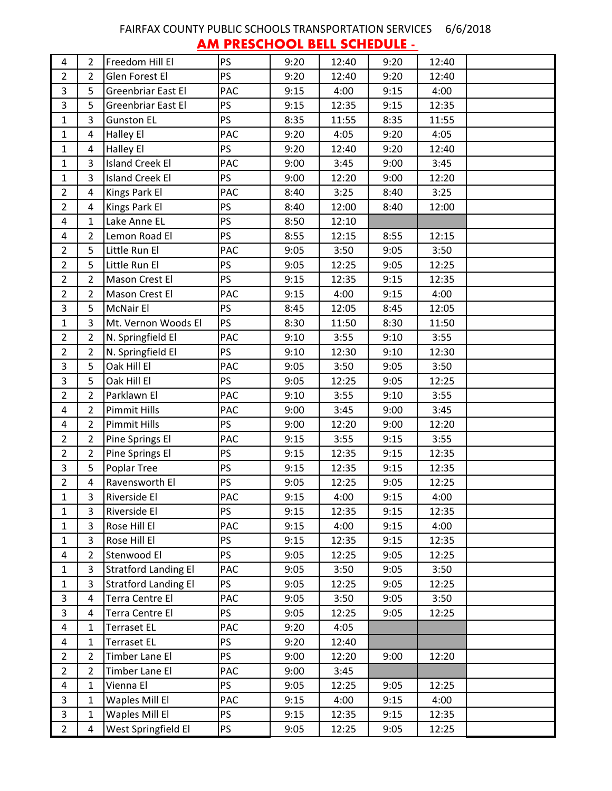# FAIRFAX COUNTY PUBLIC SCHOOLS TRANSPORTATION SERVICES 6/6/2018 **AM PRESCHOOL BELL SCHEDULE -**

| 4              | $\overline{2}$ | Freedom Hill El             | <b>PS</b>  | 9:20 | 12:40 | 9:20 | 12:40 |  |
|----------------|----------------|-----------------------------|------------|------|-------|------|-------|--|
| $\overline{2}$ | $\overline{2}$ | Glen Forest El              | <b>PS</b>  | 9:20 | 12:40 | 9:20 | 12:40 |  |
| 3              | 5              | Greenbriar East El          | PAC        | 9:15 | 4:00  | 9:15 | 4:00  |  |
| 3              | 5              | <b>Greenbriar East El</b>   | <b>PS</b>  | 9:15 | 12:35 | 9:15 | 12:35 |  |
| $\mathbf{1}$   | $\overline{3}$ | <b>Gunston EL</b>           | <b>PS</b>  | 8:35 | 11:55 | 8:35 | 11:55 |  |
| $\mathbf{1}$   | 4              | Halley El                   | PAC        | 9:20 | 4:05  | 9:20 | 4:05  |  |
| $\mathbf{1}$   | 4              | Halley El                   | <b>PS</b>  | 9:20 | 12:40 | 9:20 | 12:40 |  |
| $\mathbf{1}$   | $\overline{3}$ | <b>Island Creek El</b>      | PAC        | 9:00 | 3:45  | 9:00 | 3:45  |  |
| $\mathbf{1}$   | $\overline{3}$ | <b>Island Creek El</b>      | PS         | 9:00 | 12:20 | 9:00 | 12:20 |  |
| $\overline{2}$ | 4              | Kings Park El               | PAC        | 8:40 | 3:25  | 8:40 | 3:25  |  |
| $\overline{2}$ | 4              | Kings Park El               | <b>PS</b>  | 8:40 | 12:00 | 8:40 | 12:00 |  |
| 4              | $\mathbf{1}$   | Lake Anne EL                | PS         | 8:50 | 12:10 |      |       |  |
| 4              | $\overline{2}$ | Lemon Road El               | <b>PS</b>  | 8:55 | 12:15 | 8:55 | 12:15 |  |
| $\overline{2}$ | 5              | Little Run El               | PAC        | 9:05 | 3:50  | 9:05 | 3:50  |  |
| $\overline{2}$ | 5              | Little Run El               | <b>PS</b>  | 9:05 | 12:25 | 9:05 | 12:25 |  |
| $\overline{2}$ | $\overline{2}$ | Mason Crest El              | PS         | 9:15 | 12:35 | 9:15 | 12:35 |  |
| $\overline{2}$ | $\overline{2}$ | Mason Crest El              | PAC        | 9:15 | 4:00  | 9:15 | 4:00  |  |
| $\overline{3}$ | 5              | <b>McNair El</b>            | <b>PS</b>  | 8:45 | 12:05 | 8:45 | 12:05 |  |
| $\mathbf{1}$   | 3              | Mt. Vernon Woods El         | <b>PS</b>  | 8:30 | 11:50 | 8:30 | 11:50 |  |
| $\overline{2}$ | $\overline{2}$ | N. Springfield El           | PAC        | 9:10 | 3:55  | 9:10 | 3:55  |  |
| $\overline{2}$ | $\overline{2}$ | N. Springfield El           | <b>PS</b>  | 9:10 | 12:30 | 9:10 | 12:30 |  |
| $\overline{3}$ | 5              | Oak Hill El                 | PAC        | 9:05 | 3:50  | 9:05 | 3:50  |  |
| $\overline{3}$ | 5              | Oak Hill El                 | <b>PS</b>  | 9:05 | 12:25 | 9:05 | 12:25 |  |
| $\overline{2}$ | $\overline{2}$ | Parklawn El                 | <b>PAC</b> | 9:10 | 3:55  | 9:10 | 3:55  |  |
| 4              | $\overline{2}$ | <b>Pimmit Hills</b>         | PAC        | 9:00 | 3:45  | 9:00 | 3:45  |  |
| 4              | $\overline{2}$ | <b>Pimmit Hills</b>         | <b>PS</b>  | 9:00 | 12:20 | 9:00 | 12:20 |  |
| $\overline{2}$ | $\overline{2}$ | Pine Springs El             | PAC        | 9:15 | 3:55  | 9:15 | 3:55  |  |
| $\overline{2}$ | $\overline{2}$ | Pine Springs El             | <b>PS</b>  | 9:15 | 12:35 | 9:15 | 12:35 |  |
| 3              | 5              | Poplar Tree                 | <b>PS</b>  | 9:15 | 12:35 | 9:15 | 12:35 |  |
| $\overline{2}$ | $\overline{4}$ | Ravensworth El              | PS         | 9:05 | 12:25 | 9:05 | 12:25 |  |
| 1              | 3              | Riverside El                | PAC        | 9:15 | 4:00  | 9:15 | 4:00  |  |
| 1              | 3              | Riverside El                | <b>PS</b>  | 9:15 | 12:35 | 9:15 | 12:35 |  |
| $\mathbf{1}$   | 3              | Rose Hill El                | <b>PAC</b> | 9:15 | 4:00  | 9:15 | 4:00  |  |
| $\mathbf{1}$   | 3              | Rose Hill El                | <b>PS</b>  | 9:15 | 12:35 | 9:15 | 12:35 |  |
| 4              | $\overline{2}$ | Stenwood El                 | <b>PS</b>  | 9:05 | 12:25 | 9:05 | 12:25 |  |
| $\mathbf{1}$   | 3              | <b>Stratford Landing El</b> | PAC        | 9:05 | 3:50  | 9:05 | 3:50  |  |
| $\mathbf{1}$   | 3              | <b>Stratford Landing El</b> | <b>PS</b>  | 9:05 | 12:25 | 9:05 | 12:25 |  |
| 3              | 4              | Terra Centre El             | PAC        | 9:05 | 3:50  | 9:05 | 3:50  |  |
| $\overline{3}$ | 4              | Terra Centre El             | <b>PS</b>  | 9:05 | 12:25 | 9:05 | 12:25 |  |
| $\overline{4}$ | $\mathbf{1}$   | <b>Terraset EL</b>          | PAC        | 9:20 | 4:05  |      |       |  |
| $\overline{4}$ | $\mathbf{1}$   | <b>Terraset EL</b>          | <b>PS</b>  | 9:20 | 12:40 |      |       |  |
| $\overline{2}$ | $\overline{2}$ | Timber Lane El              | <b>PS</b>  | 9:00 | 12:20 | 9:00 | 12:20 |  |
| $2^{\circ}$    | $\overline{2}$ | Timber Lane El              | PAC        | 9:00 | 3:45  |      |       |  |
| $\overline{4}$ | $\mathbf{1}$   | Vienna El                   | <b>PS</b>  | 9:05 | 12:25 | 9:05 | 12:25 |  |
| 3              | $\mathbf{1}$   | Waples Mill El              | PAC        | 9:15 | 4:00  | 9:15 | 4:00  |  |
| $\overline{3}$ | $\mathbf{1}$   | Waples Mill El              | <b>PS</b>  | 9:15 | 12:35 | 9:15 | 12:35 |  |
| $2^{\circ}$    | 4              | West Springfield El         | <b>PS</b>  | 9:05 | 12:25 | 9:05 | 12:25 |  |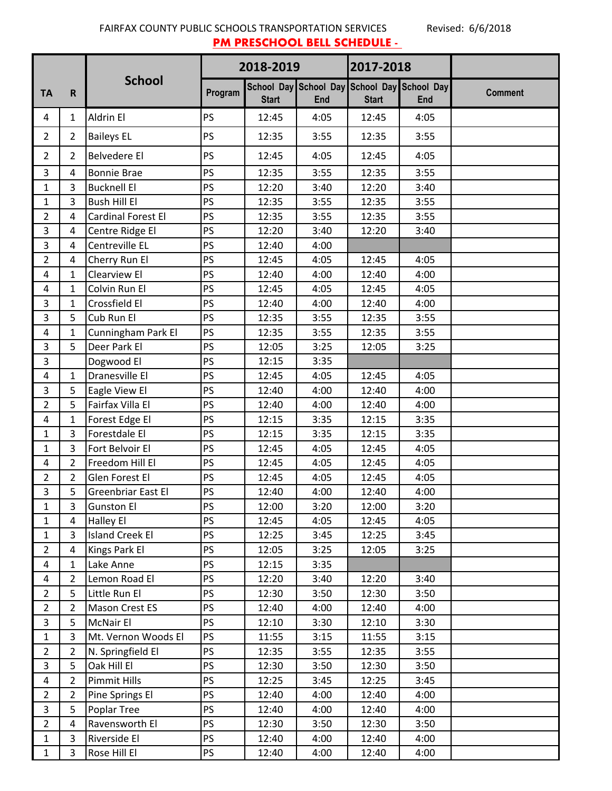FAIRFAX COUNTY PUBLIC SCHOOLS TRANSPORTATION SERVICES Revised: 6/6/2018 **PM PRESCHOOL BELL SCHEDULE -**

|                |                |                           | 2018-2019 |              | 2017-2018 |              |                                                           |                |
|----------------|----------------|---------------------------|-----------|--------------|-----------|--------------|-----------------------------------------------------------|----------------|
| <b>TA</b>      | $\mathsf{R}$   | <b>School</b>             | Program   | <b>Start</b> | End       | <b>Start</b> | School Day School Day School Day School Day<br><b>End</b> | <b>Comment</b> |
| 4              | $\mathbf{1}$   | Aldrin El                 | PS        | 12:45        | 4:05      | 12:45        | 4:05                                                      |                |
| $\overline{2}$ | $\overline{2}$ | <b>Baileys EL</b>         | <b>PS</b> | 12:35        | 3:55      | 12:35        | 3:55                                                      |                |
| $\overline{2}$ | $\overline{2}$ | <b>Belvedere El</b>       | PS        | 12:45        | 4:05      | 12:45        | 4:05                                                      |                |
| 3              | 4              | <b>Bonnie Brae</b>        | PS        | 12:35        | 3:55      | 12:35        | 3:55                                                      |                |
| $\mathbf{1}$   | 3              | <b>Bucknell El</b>        | PS        | 12:20        | 3:40      | 12:20        | 3:40                                                      |                |
| 1              | 3              | <b>Bush Hill El</b>       | PS        | 12:35        | 3:55      | 12:35        | 3:55                                                      |                |
| $\overline{2}$ | 4              | <b>Cardinal Forest El</b> | PS        | 12:35        | 3:55      | 12:35        | 3:55                                                      |                |
| 3              | 4              | Centre Ridge El           | PS        | 12:20        | 3:40      | 12:20        | 3:40                                                      |                |
| 3              | 4              | Centreville EL            | PS        | 12:40        | 4:00      |              |                                                           |                |
| $\overline{2}$ | 4              | Cherry Run El             | PS        | 12:45        | 4:05      | 12:45        | 4:05                                                      |                |
| 4              | 1              | Clearview El              | PS        | 12:40        | 4:00      | 12:40        | 4:00                                                      |                |
| 4              | 1              | Colvin Run El             | PS        | 12:45        | 4:05      | 12:45        | 4:05                                                      |                |
| 3              | 1              | Crossfield El             | PS        | 12:40        | 4:00      | 12:40        | 4:00                                                      |                |
| 3              | 5              | Cub Run El                | PS        | 12:35        | 3:55      | 12:35        | 3:55                                                      |                |
| 4              | $\mathbf{1}$   | Cunningham Park El        | PS        | 12:35        | 3:55      | 12:35        | 3:55                                                      |                |
| 3              | 5              | Deer Park El              | PS        | 12:05        | 3:25      | 12:05        | 3:25                                                      |                |
| 3              |                | Dogwood El                | PS        | 12:15        | 3:35      |              |                                                           |                |
| $\overline{4}$ | $\mathbf{1}$   | Dranesville El            | PS        | 12:45        | 4:05      | 12:45        | 4:05                                                      |                |
| 3              | 5              | Eagle View El             | PS        | 12:40        | 4:00      | 12:40        | 4:00                                                      |                |
| $\overline{2}$ | 5              | Fairfax Villa El          | PS        | 12:40        | 4:00      | 12:40        | 4:00                                                      |                |
| 4              | 1              | Forest Edge El            | PS        | 12:15        | 3:35      | 12:15        | 3:35                                                      |                |
| $\mathbf{1}$   | 3              | Forestdale El             | PS        | 12:15        | 3:35      | 12:15        | 3:35                                                      |                |
| $\mathbf{1}$   | 3              | Fort Belvoir El           | PS        | 12:45        | 4:05      | 12:45        | 4:05                                                      |                |
| 4              | $\overline{2}$ | Freedom Hill El           | PS        | 12:45        | 4:05      | 12:45        | 4:05                                                      |                |
| $\overline{2}$ | 2              | Glen Forest El            | PS        | 12:45        | 4:05      | 12:45        | 4:05                                                      |                |
| 3              | 5              | <b>Greenbriar East El</b> | PS        | 12:40        | 4:00      | 12:40        | 4:00                                                      |                |
| $\mathbf{1}$   | 3              | <b>Gunston El</b>         | PS        | 12:00        | 3:20      | 12:00        | 3:20                                                      |                |
| $\mathbf{1}$   | 4              | <b>Halley El</b>          | <b>PS</b> | 12:45        | 4:05      | 12:45        | 4:05                                                      |                |
| $\mathbf{1}$   | 3              | <b>Island Creek El</b>    | <b>PS</b> | 12:25        | 3:45      | 12:25        | 3:45                                                      |                |
| $\overline{2}$ | 4              | Kings Park El             | <b>PS</b> | 12:05        | 3:25      | 12:05        | 3:25                                                      |                |
| 4              | 1              | Lake Anne                 | PS        | 12:15        | 3:35      |              |                                                           |                |
| 4              | $\overline{2}$ | Lemon Road El             | PS        | 12:20        | 3:40      | 12:20        | 3:40                                                      |                |
| $\overline{2}$ | 5              | Little Run El             | PS        | 12:30        | 3:50      | 12:30        | 3:50                                                      |                |
| $\overline{2}$ | $\overline{2}$ | <b>Mason Crest ES</b>     | PS        | 12:40        | 4:00      | 12:40        | 4:00                                                      |                |
| 3              | 5              | <b>McNair El</b>          | PS        | 12:10        | 3:30      | 12:10        | 3:30                                                      |                |
| $\mathbf{1}$   | 3              | Mt. Vernon Woods El       | <b>PS</b> | 11:55        | 3:15      | 11:55        | 3:15                                                      |                |
| $\overline{2}$ | $\overline{2}$ | N. Springfield El         | PS        | 12:35        | 3:55      | 12:35        | 3:55                                                      |                |
| 3              | 5              | Oak Hill El               | PS        | 12:30        | 3:50      | 12:30        | 3:50                                                      |                |
| 4              | $\overline{2}$ | <b>Pimmit Hills</b>       | PS        | 12:25        | 3:45      | 12:25        | 3:45                                                      |                |
| $\overline{2}$ | $\overline{2}$ | Pine Springs El           | PS        | 12:40        | 4:00      | 12:40        | 4:00                                                      |                |
| 3              | 5              | <b>Poplar Tree</b>        | <b>PS</b> | 12:40        | 4:00      | 12:40        | 4:00                                                      |                |
| $\overline{2}$ | 4              | Ravensworth El            | PS        | 12:30        | 3:50      | 12:30        | 3:50                                                      |                |
| $\mathbf{1}$   | 3              | Riverside El              | PS        | 12:40        | 4:00      | 12:40        | 4:00                                                      |                |
| $\mathbf{1}$   | 3              | Rose Hill El              | PS.       | 12:40        | 4:00      | 12:40        | 4:00                                                      |                |